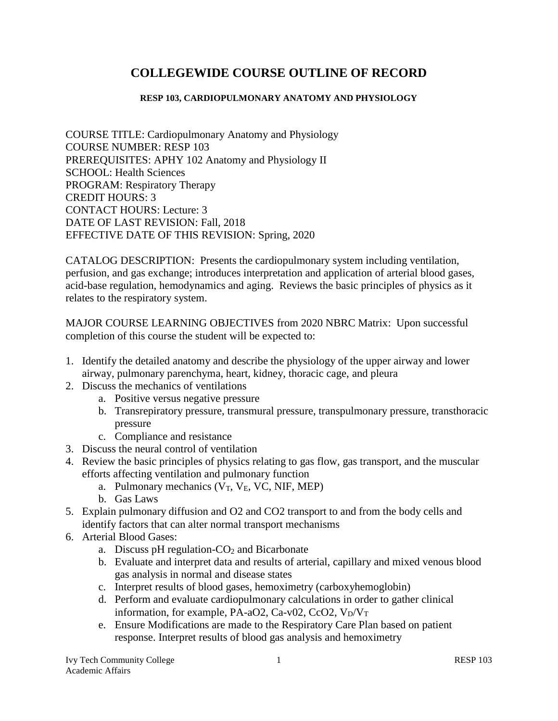# **COLLEGEWIDE COURSE OUTLINE OF RECORD**

#### **RESP 103, CARDIOPULMONARY ANATOMY AND PHYSIOLOGY**

COURSE TITLE: Cardiopulmonary Anatomy and Physiology COURSE NUMBER: RESP 103 PREREQUISITES: APHY 102 Anatomy and Physiology II SCHOOL: Health Sciences PROGRAM: Respiratory Therapy CREDIT HOURS: 3 CONTACT HOURS: Lecture: 3 DATE OF LAST REVISION: Fall, 2018 EFFECTIVE DATE OF THIS REVISION: Spring, 2020

CATALOG DESCRIPTION:Presents the cardiopulmonary system including ventilation, perfusion, and gas exchange; introduces interpretation and application of arterial blood gases, acid-base regulation, hemodynamics and aging. Reviews the basic principles of physics as it relates to the respiratory system.

MAJOR COURSE LEARNING OBJECTIVES from 2020 NBRC Matrix:Upon successful completion of this course the student will be expected to:

- 1. Identify the detailed anatomy and describe the physiology of the upper airway and lower airway, pulmonary parenchyma, heart, kidney, thoracic cage, and pleura
- 2. Discuss the mechanics of ventilations
	- a. Positive versus negative pressure
	- b. Transrepiratory pressure, transmural pressure, transpulmonary pressure, transthoracic pressure
	- c. Compliance and resistance
- 3. Discuss the neural control of ventilation
- 4. Review the basic principles of physics relating to gas flow, gas transport, and the muscular efforts affecting ventilation and pulmonary function
	- a. Pulmonary mechanics  $(V_T, V_E, VC, NIF, MEP)$
	- b. Gas Laws
- 5. Explain pulmonary diffusion and O2 and CO2 transport to and from the body cells and identify factors that can alter normal transport mechanisms
- 6. Arterial Blood Gases:
	- a. Discuss pH regulation- $CO<sub>2</sub>$  and Bicarbonate
	- b. Evaluate and interpret data and results of arterial, capillary and mixed venous blood gas analysis in normal and disease states
	- c. Interpret results of blood gases, hemoximetry (carboxyhemoglobin)
	- d. Perform and evaluate cardiopulmonary calculations in order to gather clinical information, for example, PA-aO2, Ca-v02, CcO2,  $V_D/V_T$
	- e. Ensure Modifications are made to the Respiratory Care Plan based on patient response. Interpret results of blood gas analysis and hemoximetry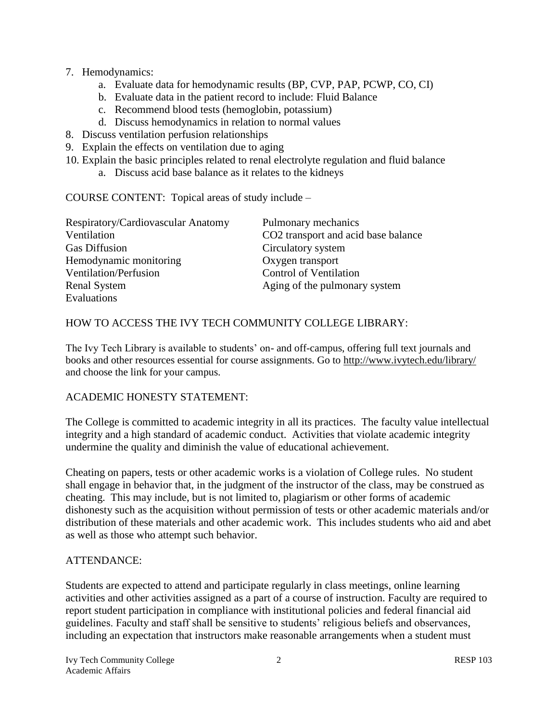- 7. Hemodynamics:
	- a. Evaluate data for hemodynamic results (BP, CVP, PAP, PCWP, CO, CI)
	- b. Evaluate data in the patient record to include: Fluid Balance
	- c. Recommend blood tests (hemoglobin, potassium)
	- d. Discuss hemodynamics in relation to normal values
- 8. Discuss ventilation perfusion relationships
- 9. Explain the effects on ventilation due to aging
- 10. Explain the basic principles related to renal electrolyte regulation and fluid balance
	- a. Discuss acid base balance as it relates to the kidneys

COURSE CONTENT:Topical areas of study include –

| Pulmonary mechanics                 |
|-------------------------------------|
| CO2 transport and acid base balance |
| Circulatory system                  |
| Oxygen transport                    |
| <b>Control of Ventilation</b>       |
| Aging of the pulmonary system       |
|                                     |
|                                     |

## HOW TO ACCESS THE IVY TECH COMMUNITY COLLEGE LIBRARY:

The Ivy Tech Library is available to students' on- and off-campus, offering full text journals and books and other resources essential for course assignments. Go to<http://www.ivytech.edu/library/> and choose the link for your campus.

#### ACADEMIC HONESTY STATEMENT:

The College is committed to academic integrity in all its practices. The faculty value intellectual integrity and a high standard of academic conduct. Activities that violate academic integrity undermine the quality and diminish the value of educational achievement.

Cheating on papers, tests or other academic works is a violation of College rules. No student shall engage in behavior that, in the judgment of the instructor of the class, may be construed as cheating. This may include, but is not limited to, plagiarism or other forms of academic dishonesty such as the acquisition without permission of tests or other academic materials and/or distribution of these materials and other academic work. This includes students who aid and abet as well as those who attempt such behavior.

# ATTENDANCE:

Students are expected to attend and participate regularly in class meetings, online learning activities and other activities assigned as a part of a course of instruction. Faculty are required to report student participation in compliance with institutional policies and federal financial aid guidelines. Faculty and staff shall be sensitive to students' religious beliefs and observances, including an expectation that instructors make reasonable arrangements when a student must